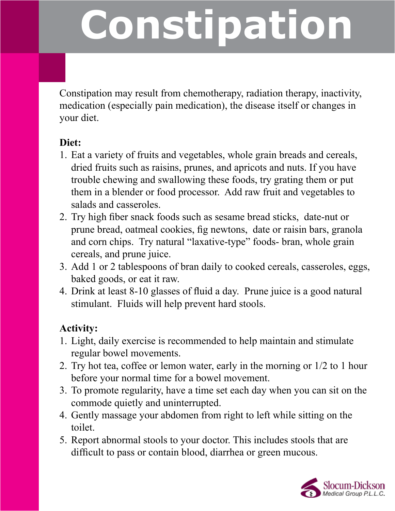## **Constipation**

Constipation may result from chemotherapy, radiation therapy, inactivity, medication (especially pain medication), the disease itself or changes in your diet.

## **Diet:**

- 1. Eat a variety of fruits and vegetables, whole grain breads and cereals, dried fruits such as raisins, prunes, and apricots and nuts. If you have trouble chewing and swallowing these foods, try grating them or put them in a blender or food processor. Add raw fruit and vegetables to salads and casseroles.
- 2. Try high fiber snack foods such as sesame bread sticks, date-nut or prune bread, oatmeal cookies, fig newtons, date or raisin bars, granola and corn chips. Try natural "laxative-type" foods- bran, whole grain cereals, and prune juice.
- 3. Add 1 or 2 tablespoons of bran daily to cooked cereals, casseroles, eggs, baked goods, or eat it raw.
- 4. Drink at least 8-10 glasses of fluid a day. Prune juice is a good natural stimulant. Fluids will help prevent hard stools.

## **Activity:**

- 1. Light, daily exercise is recommended to help maintain and stimulate regular bowel movements.
- 2. Try hot tea, coffee or lemon water, early in the morning or 1/2 to 1 hour before your normal time for a bowel movement.
- 3. To promote regularity, have a time set each day when you can sit on the commode quietly and uninterrupted.
- 4. Gently massage your abdomen from right to left while sitting on the toilet.
- 5. Report abnormal stools to your doctor. This includes stools that are difficult to pass or contain blood, diarrhea or green mucous.